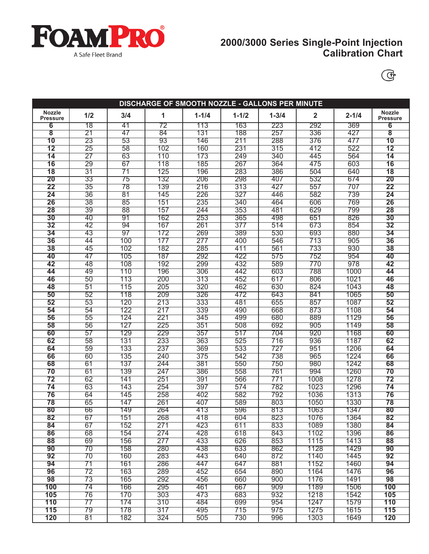

# **2000/3000 Series Single-Point Injection Calibration Chart**



| DISCHARGE OF SMOOTH NOZZLE - GALLONS PER MINUTE |                 |                 |                 |            |                  |            |                         |              |                                  |
|-------------------------------------------------|-----------------|-----------------|-----------------|------------|------------------|------------|-------------------------|--------------|----------------------------------|
| <b>Nozzle</b><br><b>Pressure</b>                | 1/2             | 3/4             | 1               | $1 - 1/4$  | $1 - 1/2$        | $1 - 3/4$  | $\overline{\mathbf{2}}$ | $2 - 1/4$    | <b>Nozzle</b><br><b>Pressure</b> |
| 6                                               | 78              | 41              | 72              | 113        | 163              | 223        | 292                     | 369          | $\overline{6}$                   |
| $\overline{\mathbf{8}}$                         | $\overline{21}$ | 47              | 84              | 131        | 188              | 257        | 336                     | 427          | $\overline{\mathbf{8}}$          |
| 10                                              | 23              | 53              | $\overline{93}$ | 146        | 211              | 288        | 376                     | 477          | 10                               |
| $\overline{12}$                                 | $\overline{25}$ | $\overline{58}$ | 102             | 160        | 231              | 315        | 412                     | 522          | $\overline{12}$                  |
| $\overline{14}$                                 | $\overline{27}$ | 63              | 110             | 173        | 249              | 340        | 445                     | 564          | 14                               |
| 16                                              | 29              | 67              | 118             | 185        | 267              | 364        | 475                     | 603          | 16                               |
| $\overline{18}$                                 | $\overline{31}$ | $\overline{71}$ | 125             | 196        | 283              | 386        | 504                     | 640          | $\overline{18}$                  |
| 20                                              | 33              | $\overline{75}$ | 132             | 206        | 298              | 407        | 532                     | 674          | 20                               |
| $\overline{22}$                                 | $\overline{35}$ | 78              | 139             | 216        | 313              | 427        | 557                     | 707          | $\overline{22}$                  |
| $\overline{24}$                                 | $\overline{36}$ | $\overline{81}$ | 145             | 226        | $\overline{327}$ | 446        | 582                     | 739          | 24                               |
| $\overline{26}$                                 | $\overline{38}$ | 85              | 151             | 235        | 340              | 464        | 606                     | 769          | 26                               |
| 28                                              | $\overline{39}$ | 88              | 157             | 244        | 353              | 481        | 629                     | 799          | 28                               |
| 30                                              | 40              | 91              | 162             | 253        | 365              | 498        | 651                     | 826          | 30                               |
| $\overline{32}$                                 | 42              | 94              | 167             | 261        | 377              | 514        | 673                     | 854          | 32                               |
| 34                                              | 43              | 97              | 172             | 269        | 389              | 530        | 693                     | 880          | 34                               |
| 36                                              | 44              | 100             | 177             | 277        | 400              | 546        | 713                     | 905          | 36                               |
| 38                                              | 45              | 102             | 182             | 285        | 411              | 561        | 733                     | 930          | 38                               |
| 40                                              | 47              | 105             | 187             | 292        | 422              | 575        | 752                     | 954          | 40                               |
| 42                                              | 48              | 108             | 192             | 299        | 432              | 589        | 770                     | 978          | 42                               |
| 44                                              | 49              | 110             | 196             | 306        | 442              | 603        | 788                     | 1000         | 44                               |
| 46                                              | 50              | 113             | 200             | 313        | 452              | 617        | 806                     | 1021         | 46                               |
| 48                                              | 51              | 115             | 205             | 320        | 462              | 630        | 824                     | 1043         | 48                               |
| 50                                              | 52              | 118             | 209             | 326        | 472              | 643        | 841                     | 1065         | 50                               |
| 52                                              | 53              | 120<br>122      | 213<br>217      | 333        | 481              | 655        | 857                     | 1087         | 52                               |
| 54<br>56                                        | 54<br>55        | 124             | 221             | 339        | 490<br>499       | 668<br>680 | 873<br>889              | 1108<br>1129 | 54<br>56                         |
| 58                                              | 56              | 127             | 225             | 345<br>351 | 508              | 692        | 905                     | 1149         | 58                               |
| 60                                              | 57              | 129             | 229             | 357        | 517              | 704        | 920                     | 1168         | 60                               |
| 62                                              | 58              | 131             | 233             | 363        | 525              | 716        | 936                     | 1187         | 62                               |
| 64                                              | 59              | 133             | 237             | 369        | 533              | 727        | 951                     | 1206         | 64                               |
| 66                                              | 60              | 135             | 240             | 375        | 542              | 738        | 965                     | 1224         | 66                               |
| 68                                              | 61              | 137             | 244             | 381        | 550              | 750        | 980                     | 1242         | 68                               |
| 70                                              | 61              | 139             | 247             | 386        | 558              | 761        | 994                     | 1260         | 70                               |
| $\overline{72}$                                 | 62              | 141             | 251             | 391        | 566              | 771        | 1008                    | 1278         | $\overline{72}$                  |
| $\overline{74}$                                 | 63              | 143             | 254             | 397        | 574              | 782        | 1023                    | 1296         | 74                               |
| 76                                              | 64              | 145             | 258             | 402        | 582              | 792        | 1036                    | 1313         | 76                               |
| 78                                              | 65              | 147             | 261             | 407        | 589              | 803        | 1050                    | 1330         | 78                               |
| 80                                              | 66              | 149             | 264             | 413        | 596              | 813        | 1063                    | 1347         | 80                               |
| 82                                              | 67              | 151             | 268             | 418        | 604              | 823        | 1076                    | 1364         | 82                               |
| 84                                              | 67              | 152             | 271             | 423        | 611              | 833        | 1089                    | 1380         | 84                               |
| 86                                              | 68              | 154             | 274             | 428        | 618              | 843        | 1102                    | 1396         | 86                               |
| $\overline{88}$                                 | 69              | 156             | 277             | 433        | 626              | 853        | 1115                    | 1413         | 88                               |
| 90                                              | 70              | 158             | 280             | 438        | 633              | 862        | 1128                    | 1429         | 90                               |
| 92                                              | 70              | 160             | 283             | 443        | 640              | 872        | 1140                    | 1445         | $\overline{92}$                  |
| 94                                              | $\overline{71}$ | 161             | 286             | 447        | 647              | 881        | 1152                    | 1460         | 94                               |
| 96                                              | $\overline{72}$ | 163             | 289             | 452        | 654              | 890        | 1164                    | 1476         | 96                               |
| 98                                              | 73              | 165             | 292             | 456        | 660              | 900        | 1176                    | 1491         | 98                               |
| 100                                             | 74              | 166             | 295             | 461        | 667              | 909        | 1189                    | 1506         | 100                              |
| 105                                             | 76              | 170             | 303             | 473        | 683              | 932        | 1218                    | 1542         | 105                              |
| 110                                             | $\overline{77}$ | 174             | 310             | 484        | 699              | 954        | 1247                    | 1579         | 110                              |
| 115                                             | 79              | 178             | 317             | 495        | 715              | 975        | 1275                    | 1615         | 115                              |
| 120                                             | 81              | 182             | 324             | 505        | 730              | 996        | 1303                    | 1649         | 120                              |